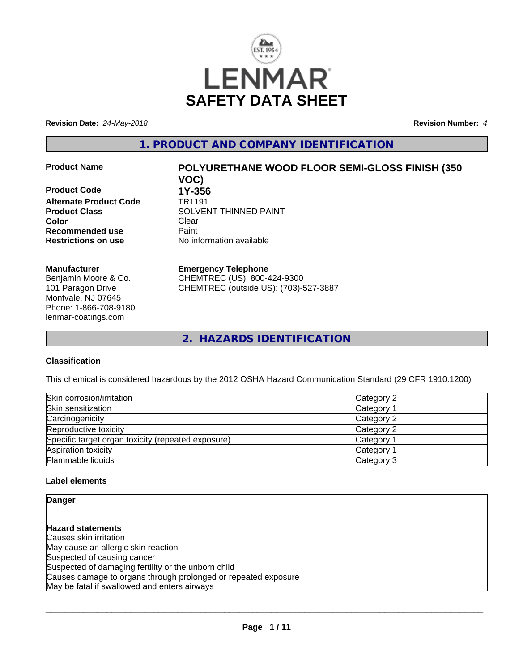

**Revision Date:** *24-May-2018* **Revision Number:** *4*

**1. PRODUCT AND COMPANY IDENTIFICATION**

**Product Code 1Y-356**<br>**Alternate Product Code 1R1191 Alternate Product Code Color** Clear Clear **Recommended use** Paint<br> **Restrictions on use** Mo information available **Restrictions on use** 

## **Manufacturer**

Benjamin Moore & Co. 101 Paragon Drive Montvale, NJ 07645 Phone: 1-866-708-9180 lenmar-coatings.com

# **Product Name POLYURETHANE WOOD FLOOR SEMI-GLOSS FINISH (350 VOC)**

**Product Class SOLVENT THINNED PAINT** 

**Emergency Telephone**

CHEMTREC (US): 800-424-9300 CHEMTREC (outside US): (703)-527-3887

**2. HAZARDS IDENTIFICATION**

#### **Classification**

This chemical is considered hazardous by the 2012 OSHA Hazard Communication Standard (29 CFR 1910.1200)

| Skin corrosion/irritation                          | Category 2      |
|----------------------------------------------------|-----------------|
| Skin sensitization                                 | <b>Category</b> |
| Carcinogenicity                                    | Category 2      |
| Reproductive toxicity                              | Category 2      |
| Specific target organ toxicity (repeated exposure) | Category        |
| Aspiration toxicity                                | Category        |
| Flammable liquids                                  | Category 3      |

#### **Label elements**

**Danger**

**Hazard statements** Causes skin irritation May cause an allergic skin reaction Suspected of causing cancer Suspected of damaging fertility or the unborn child Causes damage to organs through prolonged or repeated exposure May be fatal if swallowed and enters airways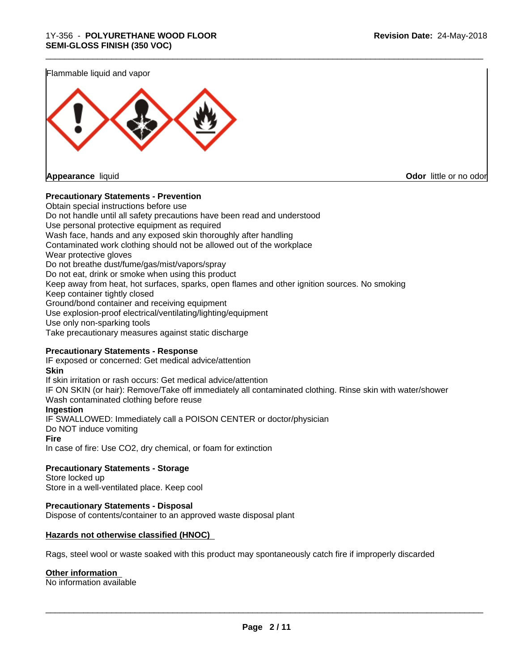\_\_\_\_\_\_\_\_\_\_\_\_\_\_\_\_\_\_\_\_\_\_\_\_\_\_\_\_\_\_\_\_\_\_\_\_\_\_\_\_\_\_\_\_\_\_\_\_\_\_\_\_\_\_\_\_\_\_\_\_\_\_\_\_\_\_\_\_\_\_\_\_\_\_\_\_\_\_\_\_\_\_\_\_\_\_\_\_\_\_\_\_\_

Flammable liquid and vapor



**Appearance** liquid **CODO** *Appearance liquid* **Odor**  *CODO CODO* **<b>***CODO CODO CODO CODO CODO CODO CODO CODO CODO CODO CODO CODO CODO CODO CODO CODO CODO* 

#### **Precautionary Statements - Prevention**

Obtain special instructions before use Do not handle until all safety precautions have been read and understood Use personal protective equipment as required Wash face, hands and any exposed skin thoroughly after handling Contaminated work clothing should not be allowed out of the workplace Wear protective gloves Do not breathe dust/fume/gas/mist/vapors/spray Do not eat, drink or smoke when using this product Keep away from heat, hot surfaces, sparks, open flames and other ignition sources. No smoking Keep container tightly closed Ground/bond container and receiving equipment Use explosion-proof electrical/ventilating/lighting/equipment Use only non-sparking tools Take precautionary measures against static discharge

#### **Precautionary Statements - Response**

IF exposed or concerned: Get medical advice/attention **Skin** If skin irritation or rash occurs: Get medical advice/attention IF ON SKIN (or hair): Remove/Take off immediately all contaminated clothing. Rinse skin with water/shower Wash contaminated clothing before reuse **Ingestion** IF SWALLOWED: Immediately call a POISON CENTER or doctor/physician Do NOT induce vomiting **Fire** In case of fire: Use CO2, dry chemical, or foam for extinction

**Precautionary Statements - Storage** Store locked up

Store in a well-ventilated place. Keep cool

#### **Precautionary Statements - Disposal**

Dispose of contents/container to an approved waste disposal plant

#### **Hazards not otherwise classified (HNOC)**

Rags, steel wool or waste soaked with this product may spontaneously catch fire if improperly discarded

#### **Other information**

No information available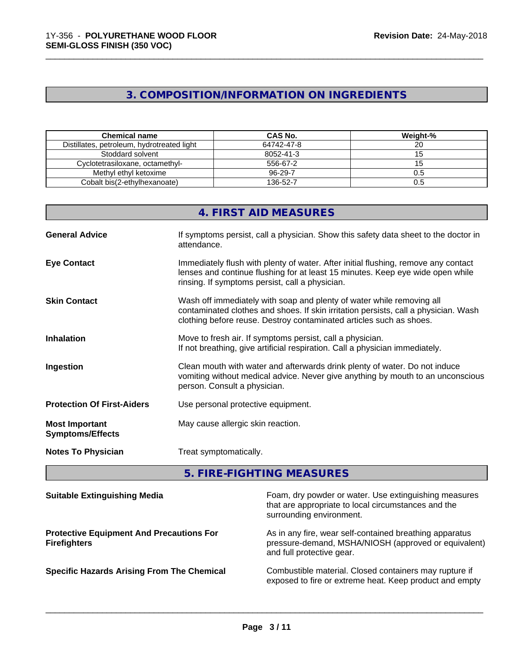## **3. COMPOSITION/INFORMATION ON INGREDIENTS**

\_\_\_\_\_\_\_\_\_\_\_\_\_\_\_\_\_\_\_\_\_\_\_\_\_\_\_\_\_\_\_\_\_\_\_\_\_\_\_\_\_\_\_\_\_\_\_\_\_\_\_\_\_\_\_\_\_\_\_\_\_\_\_\_\_\_\_\_\_\_\_\_\_\_\_\_\_\_\_\_\_\_\_\_\_\_\_\_\_\_\_\_\_

| <b>Chemical name</b>                       | CAS No.    | Weight-% |
|--------------------------------------------|------------|----------|
| Distillates, petroleum, hydrotreated light | 64742-47-8 |          |
| Stoddard solvent                           | 8052-41-3  |          |
| Cyclotetrasiloxane, octamethyl-            | 556-67-2   |          |
| Methyl ethyl ketoxime                      | 96-29-7    | 0.5      |
| Cobalt bis(2-ethylhexanoate)               | 136-52-7   | 0.5      |

|                                                  | 4. FIRST AID MEASURES                                                                                                                                                                                                               |
|--------------------------------------------------|-------------------------------------------------------------------------------------------------------------------------------------------------------------------------------------------------------------------------------------|
| <b>General Advice</b>                            | If symptoms persist, call a physician. Show this safety data sheet to the doctor in<br>attendance.                                                                                                                                  |
| <b>Eye Contact</b>                               | Immediately flush with plenty of water. After initial flushing, remove any contact<br>lenses and continue flushing for at least 15 minutes. Keep eye wide open while<br>rinsing. If symptoms persist, call a physician.             |
| <b>Skin Contact</b>                              | Wash off immediately with soap and plenty of water while removing all<br>contaminated clothes and shoes. If skin irritation persists, call a physician. Wash<br>clothing before reuse. Destroy contaminated articles such as shoes. |
| <b>Inhalation</b>                                | Move to fresh air. If symptoms persist, call a physician.<br>If not breathing, give artificial respiration. Call a physician immediately.                                                                                           |
| Ingestion                                        | Clean mouth with water and afterwards drink plenty of water. Do not induce<br>vomiting without medical advice. Never give anything by mouth to an unconscious<br>person. Consult a physician.                                       |
| <b>Protection Of First-Aiders</b>                | Use personal protective equipment.                                                                                                                                                                                                  |
| <b>Most Important</b><br><b>Symptoms/Effects</b> | May cause allergic skin reaction.                                                                                                                                                                                                   |
| <b>Notes To Physician</b>                        | Treat symptomatically.                                                                                                                                                                                                              |

## **5. FIRE-FIGHTING MEASURES**

| <b>Suitable Extinguishing Media</b>                                    | Foam, dry powder or water. Use extinguishing measures<br>that are appropriate to local circumstances and the<br>surrounding environment.     |
|------------------------------------------------------------------------|----------------------------------------------------------------------------------------------------------------------------------------------|
| <b>Protective Equipment And Precautions For</b><br><b>Firefighters</b> | As in any fire, wear self-contained breathing apparatus<br>pressure-demand, MSHA/NIOSH (approved or equivalent)<br>and full protective gear. |
| <b>Specific Hazards Arising From The Chemical</b>                      | Combustible material. Closed containers may rupture if<br>exposed to fire or extreme heat. Keep product and empty                            |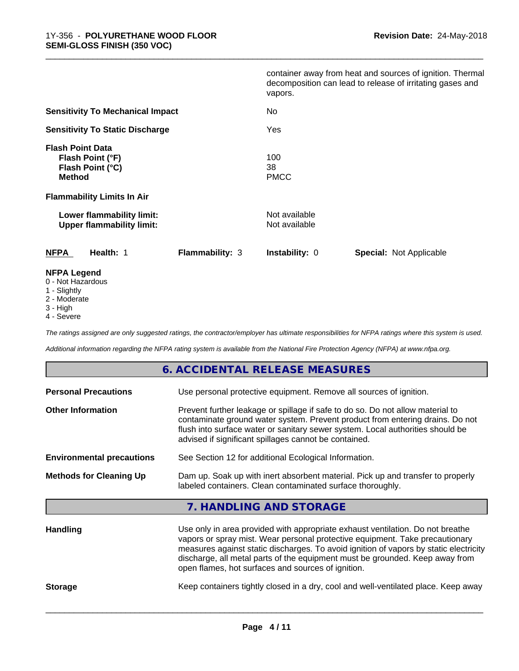|                                                                                  |                 | vapors.                        | container away from heat and sources of ignition. Thermal<br>decomposition can lead to release of irritating gases and |
|----------------------------------------------------------------------------------|-----------------|--------------------------------|------------------------------------------------------------------------------------------------------------------------|
| <b>Sensitivity To Mechanical Impact</b>                                          |                 | No                             |                                                                                                                        |
| <b>Sensitivity To Static Discharge</b>                                           |                 | Yes                            |                                                                                                                        |
| <b>Flash Point Data</b><br>Flash Point (°F)<br>Flash Point (°C)<br><b>Method</b> |                 | 100<br>38<br><b>PMCC</b>       |                                                                                                                        |
| <b>Flammability Limits In Air</b>                                                |                 |                                |                                                                                                                        |
| Lower flammability limit:<br><b>Upper flammability limit:</b>                    |                 | Not available<br>Not available |                                                                                                                        |
| <b>NFPA</b><br>Health: 1                                                         | Flammability: 3 | <b>Instability: 0</b>          | <b>Special: Not Applicable</b>                                                                                         |
| <b>NFPA Legend</b><br>0 - Not Hazardous                                          |                 |                                |                                                                                                                        |

\_\_\_\_\_\_\_\_\_\_\_\_\_\_\_\_\_\_\_\_\_\_\_\_\_\_\_\_\_\_\_\_\_\_\_\_\_\_\_\_\_\_\_\_\_\_\_\_\_\_\_\_\_\_\_\_\_\_\_\_\_\_\_\_\_\_\_\_\_\_\_\_\_\_\_\_\_\_\_\_\_\_\_\_\_\_\_\_\_\_\_\_\_

- 
- 1 Slightly
- 2 Moderate
- 3 High
- 4 Severe

*The ratings assigned are only suggested ratings, the contractor/employer has ultimate responsibilities for NFPA ratings where this system is used.*

*Additional information regarding the NFPA rating system is available from the National Fire Protection Agency (NFPA) at www.nfpa.org.*

#### **6. ACCIDENTAL RELEASE MEASURES**

| <b>Personal Precautions</b>      | Use personal protective equipment. Remove all sources of ignition.                                                                                                                                                                                                                                                                                                                            |
|----------------------------------|-----------------------------------------------------------------------------------------------------------------------------------------------------------------------------------------------------------------------------------------------------------------------------------------------------------------------------------------------------------------------------------------------|
| <b>Other Information</b>         | Prevent further leakage or spillage if safe to do so. Do not allow material to<br>contaminate ground water system. Prevent product from entering drains. Do not<br>flush into surface water or sanitary sewer system. Local authorities should be<br>advised if significant spillages cannot be contained.                                                                                    |
| <b>Environmental precautions</b> | See Section 12 for additional Ecological Information.                                                                                                                                                                                                                                                                                                                                         |
| <b>Methods for Cleaning Up</b>   | Dam up. Soak up with inert absorbent material. Pick up and transfer to properly<br>labeled containers. Clean contaminated surface thoroughly.                                                                                                                                                                                                                                                 |
|                                  | 7. HANDLING AND STORAGE                                                                                                                                                                                                                                                                                                                                                                       |
| <b>Handling</b>                  | Use only in area provided with appropriate exhaust ventilation. Do not breathe<br>vapors or spray mist. Wear personal protective equipment. Take precautionary<br>measures against static discharges. To avoid ignition of vapors by static electricity<br>discharge, all metal parts of the equipment must be grounded. Keep away from<br>open flames, hot surfaces and sources of ignition. |

**Storage** Keep containers tightly closed in a dry, cool and well-ventilated place. Keep away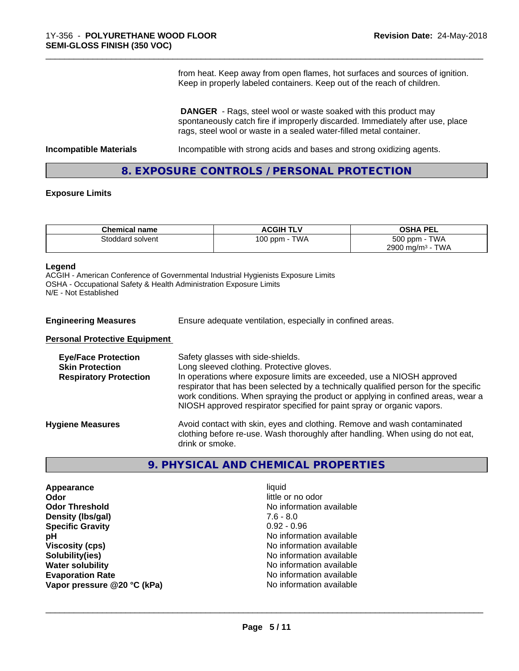from heat. Keep away from open flames, hot surfaces and sources of ignition. Keep in properly labeled containers. Keep out of the reach of children.

 **DANGER** - Rags, steel wool or waste soaked with this product may spontaneously catch fire if improperly discarded. Immediately after use, place rags, steel wool or waste in a sealed water-filled metal container.

**Incompatible Materials Incompatible with strong acids and bases and strong oxidizing agents.** 

\_\_\_\_\_\_\_\_\_\_\_\_\_\_\_\_\_\_\_\_\_\_\_\_\_\_\_\_\_\_\_\_\_\_\_\_\_\_\_\_\_\_\_\_\_\_\_\_\_\_\_\_\_\_\_\_\_\_\_\_\_\_\_\_\_\_\_\_\_\_\_\_\_\_\_\_\_\_\_\_\_\_\_\_\_\_\_\_\_\_\_\_\_

### **8. EXPOSURE CONTROLS / PERSONAL PROTECTION**

#### **Exposure Limits**

| <b>Chemical name</b> | <b>ACGIH TLV</b> | <b>OSHA PEL</b>                 |
|----------------------|------------------|---------------------------------|
| Stoddard solvent     | TWA<br>$100$ ppm | <b>TWA</b><br>500 ppm -         |
|                      |                  | 2900 mg/m <sup>3</sup> -<br>TWA |

#### **Legend**

ACGIH - American Conference of Governmental Industrial Hygienists Exposure Limits OSHA - Occupational Safety & Health Administration Exposure Limits N/E - Not Established

| <b>Engineering Measures</b>                                                           | Ensure adequate ventilation, especially in confined areas.                                                                                                                                                                                                                                                                                                                                                     |  |  |
|---------------------------------------------------------------------------------------|----------------------------------------------------------------------------------------------------------------------------------------------------------------------------------------------------------------------------------------------------------------------------------------------------------------------------------------------------------------------------------------------------------------|--|--|
| <b>Personal Protective Equipment</b>                                                  |                                                                                                                                                                                                                                                                                                                                                                                                                |  |  |
| <b>Eye/Face Protection</b><br><b>Skin Protection</b><br><b>Respiratory Protection</b> | Safety glasses with side-shields.<br>Long sleeved clothing. Protective gloves.<br>In operations where exposure limits are exceeded, use a NIOSH approved<br>respirator that has been selected by a technically qualified person for the specific<br>work conditions. When spraying the product or applying in confined areas, wear a<br>NIOSH approved respirator specified for paint spray or organic vapors. |  |  |
| <b>Hygiene Measures</b>                                                               | Avoid contact with skin, eyes and clothing. Remove and wash contaminated<br>clothing before re-use. Wash thoroughly after handling. When using do not eat,<br>drink or smoke.                                                                                                                                                                                                                                  |  |  |

### **9. PHYSICAL AND CHEMICAL PROPERTIES**

**Appearance** liquid **Odor**<br> **Odor Threshold**<br> **Odor Threshold**<br> **Odor Show Threshold**<br> **Odor Show Threshold**<br> **Odor Show Threshold**<br> **Odor Show Threshold Density (lbs/gal)** 7.6 - 8.0<br> **Specific Gravity** 3.0 2.096 **Specific Gravity pH** No information available **Viscosity (cps)** No information available<br> **Solubility (ies)** No information available<br>
No information available **Water solubility Water solubility Water solubility Water solubility Water No** information available **Evaporation Rate No information available No information available Vapor pressure @20 °C (kPa)** No information available

**No information available Solubility(ies)** No information available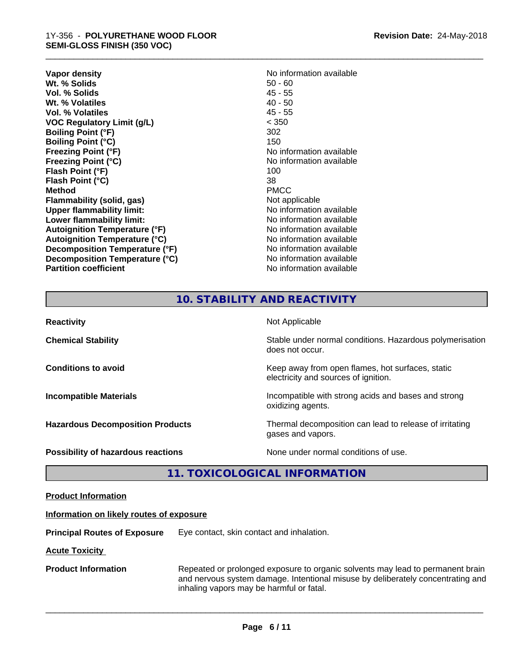- **Vapor density**<br> **We Solids**<br>
We Solids
2019<br>
Me Solids
2019 **Wt. % Solids** 50 - 60<br> **Vol. % Solids** 45 - 55 **Vol. % Solids Wt. % Volatiles** 40 - 50 **Vol. % Volatiles** 45 - 55 **VOC Regulatory Limit (g/L)** < 350 **Boiling Point (°F)** 302 **Boiling Point (°C)** 150 **Freezing Point (°F)** No information available **Freezing Point (°C)** and **COV** No information available **Flash Point (°F)** 100 **Flash Point (°C)** 38 **Method** PMCC **Flammability (solid, gas)**<br> **Commability limit:**<br>
Upper flammability limit:<br>
Wo information available **Upper flammability limit: Lower flammability limit:**<br> **Autoignition Temperature (°F)** No information available<br>
No information available **Autoignition Temperature (°F) Autoignition Temperature (°C)** No information available **Decomposition Temperature (°F)** No information available **Decomposition Temperature (°C)** No information available **Partition coefficient** No information available
	-

\_\_\_\_\_\_\_\_\_\_\_\_\_\_\_\_\_\_\_\_\_\_\_\_\_\_\_\_\_\_\_\_\_\_\_\_\_\_\_\_\_\_\_\_\_\_\_\_\_\_\_\_\_\_\_\_\_\_\_\_\_\_\_\_\_\_\_\_\_\_\_\_\_\_\_\_\_\_\_\_\_\_\_\_\_\_\_\_\_\_\_\_\_

## **10. STABILITY AND REACTIVITY**

| <b>Reactivity</b>                         | Not Applicable                                                                           |
|-------------------------------------------|------------------------------------------------------------------------------------------|
| <b>Chemical Stability</b>                 | Stable under normal conditions. Hazardous polymerisation<br>does not occur.              |
| <b>Conditions to avoid</b>                | Keep away from open flames, hot surfaces, static<br>electricity and sources of ignition. |
| <b>Incompatible Materials</b>             | Incompatible with strong acids and bases and strong<br>oxidizing agents.                 |
| <b>Hazardous Decomposition Products</b>   | Thermal decomposition can lead to release of irritating<br>gases and vapors.             |
| <b>Possibility of hazardous reactions</b> | None under normal conditions of use.                                                     |

## **11. TOXICOLOGICAL INFORMATION**

| <b>Product Information</b> |  |
|----------------------------|--|
|                            |  |

#### **Information on likely routes of exposure**

**Principal Routes of Exposure** Eye contact, skin contact and inhalation.

**Acute Toxicity** 

**Product Information** Repeated or prolonged exposure to organic solvents may lead to permanent brain and nervous system damage. Intentional misuse by deliberately concentrating and inhaling vapors may be harmful or fatal.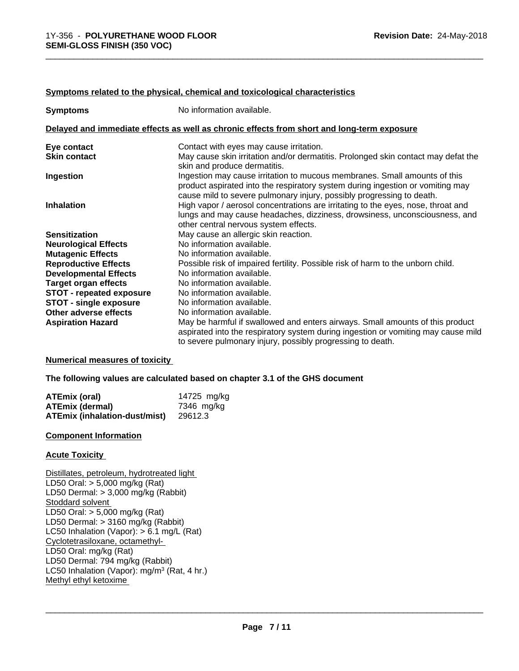#### **Symptoms related to the physical,chemical and toxicological characteristics**

| <b>Symptoms</b>                 | No information available.                                                                                                                                                                                                            |
|---------------------------------|--------------------------------------------------------------------------------------------------------------------------------------------------------------------------------------------------------------------------------------|
|                                 | Delayed and immediate effects as well as chronic effects from short and long-term exposure                                                                                                                                           |
| Eye contact                     | Contact with eyes may cause irritation.                                                                                                                                                                                              |
| <b>Skin contact</b>             | May cause skin irritation and/or dermatitis. Prolonged skin contact may defat the<br>skin and produce dermatitis.                                                                                                                    |
| Ingestion                       | Ingestion may cause irritation to mucous membranes. Small amounts of this<br>product aspirated into the respiratory system during ingestion or vomiting may<br>cause mild to severe pulmonary injury, possibly progressing to death. |
| <b>Inhalation</b>               | High vapor / aerosol concentrations are irritating to the eyes, nose, throat and<br>lungs and may cause headaches, dizziness, drowsiness, unconsciousness, and<br>other central nervous system effects.                              |
| <b>Sensitization</b>            | May cause an allergic skin reaction.                                                                                                                                                                                                 |
| <b>Neurological Effects</b>     | No information available.                                                                                                                                                                                                            |
| <b>Mutagenic Effects</b>        | No information available.                                                                                                                                                                                                            |
| <b>Reproductive Effects</b>     | Possible risk of impaired fertility. Possible risk of harm to the unborn child.                                                                                                                                                      |
| <b>Developmental Effects</b>    | No information available.                                                                                                                                                                                                            |
| <b>Target organ effects</b>     | No information available.                                                                                                                                                                                                            |
| <b>STOT - repeated exposure</b> | No information available.                                                                                                                                                                                                            |
| <b>STOT - single exposure</b>   | No information available.                                                                                                                                                                                                            |
| Other adverse effects           | No information available.                                                                                                                                                                                                            |
| <b>Aspiration Hazard</b>        | May be harmful if swallowed and enters airways. Small amounts of this product<br>aspirated into the respiratory system during ingestion or vomiting may cause mild<br>to severe pulmonary injury, possibly progressing to death.     |

#### **Numerical measures of toxicity**

**The following values are calculated based on chapter 3.1 of the GHS document**

| ATEmix (oral)                        | 14725 mg/kg |
|--------------------------------------|-------------|
| <b>ATEmix (dermal)</b>               | 7346 mg/ka  |
| <b>ATEmix (inhalation-dust/mist)</b> | 29612.3     |

#### **Component Information**

#### **Acute Toxicity**

Distillates, petroleum, hydrotreated light LD50 Oral: > 5,000 mg/kg (Rat) LD50 Dermal: > 3,000 mg/kg (Rabbit) Stoddard solvent LD50 Oral: > 5,000 mg/kg (Rat) LD50 Dermal: > 3160 mg/kg (Rabbit) LC50 Inhalation (Vapor): > 6.1 mg/L (Rat) Cyclotetrasiloxane, octamethyl- LD50 Oral: mg/kg (Rat) LD50 Dermal: 794 mg/kg (Rabbit) LC50 Inhalation (Vapor): mg/m<sup>3</sup> (Rat, 4 hr.) Methyl ethyl ketoxime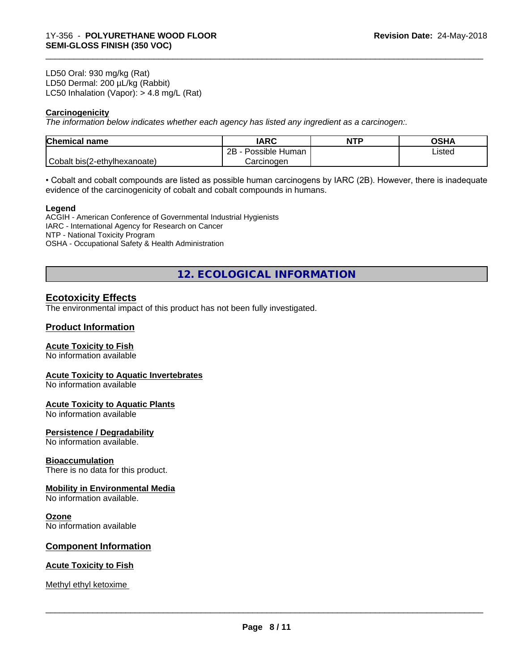LD50 Oral: 930 mg/kg (Rat) LD50 Dermal: 200 µL/kg (Rabbit) LC50 Inhalation (Vapor): > 4.8 mg/L (Rat)

#### **Carcinogenicity**

*The information below indicateswhether each agency has listed any ingredient as a carcinogen:.*

| <b>Chemical name</b>         | <b>IARC</b>               | <b>NTF</b> | <b>OSHA</b> |
|------------------------------|---------------------------|------------|-------------|
|                              | .<br>2B<br>Possible Human |            | Listed      |
| Cobalt bis(2-ethylhexanoate) | Carcinogen                |            |             |

\_\_\_\_\_\_\_\_\_\_\_\_\_\_\_\_\_\_\_\_\_\_\_\_\_\_\_\_\_\_\_\_\_\_\_\_\_\_\_\_\_\_\_\_\_\_\_\_\_\_\_\_\_\_\_\_\_\_\_\_\_\_\_\_\_\_\_\_\_\_\_\_\_\_\_\_\_\_\_\_\_\_\_\_\_\_\_\_\_\_\_\_\_

• Cobalt and cobalt compounds are listed as possible human carcinogens by IARC (2B). However, there is inadequate evidence of the carcinogenicity of cobalt and cobalt compounds in humans.

#### **Legend**

ACGIH - American Conference of Governmental Industrial Hygienists IARC - International Agency for Research on Cancer NTP - National Toxicity Program OSHA - Occupational Safety & Health Administration

**12. ECOLOGICAL INFORMATION**

#### **Ecotoxicity Effects**

The environmental impact of this product has not been fully investigated.

#### **Product Information**

#### **Acute Toxicity to Fish**

No information available

#### **Acute Toxicity to Aquatic Invertebrates**

No information available

#### **Acute Toxicity to Aquatic Plants**

No information available

#### **Persistence / Degradability**

No information available.

#### **Bioaccumulation**

There is no data for this product.

#### **Mobility in Environmental Media**

No information available.

#### **Ozone**

No information available

#### **Component Information**

#### **Acute Toxicity to Fish**

Methyl ethyl ketoxime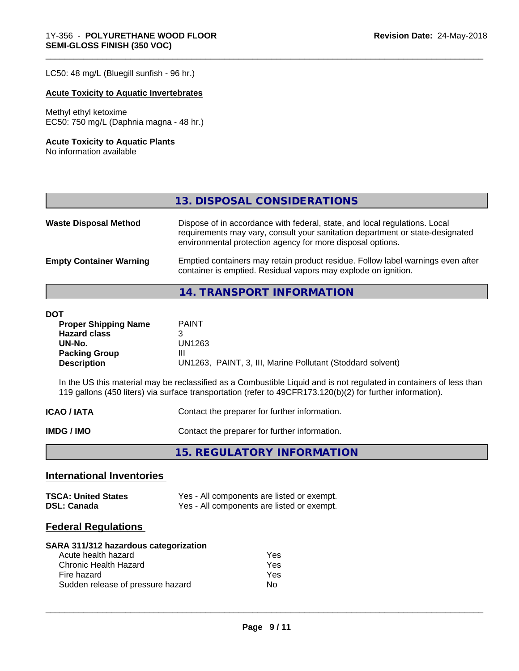LC50: 48 mg/L (Bluegill sunfish - 96 hr.)

#### **Acute Toxicity to Aquatic Invertebrates**

#### Methyl ethyl ketoxime

EC50: 750 mg/L (Daphnia magna - 48 hr.)

#### **Acute Toxicity to Aquatic Plants**

No information available

## **13. DISPOSAL CONSIDERATIONS**

\_\_\_\_\_\_\_\_\_\_\_\_\_\_\_\_\_\_\_\_\_\_\_\_\_\_\_\_\_\_\_\_\_\_\_\_\_\_\_\_\_\_\_\_\_\_\_\_\_\_\_\_\_\_\_\_\_\_\_\_\_\_\_\_\_\_\_\_\_\_\_\_\_\_\_\_\_\_\_\_\_\_\_\_\_\_\_\_\_\_\_\_\_

| <b>Waste Disposal Method</b>   | Dispose of in accordance with federal, state, and local regulations. Local<br>requirements may vary, consult your sanitation department or state-designated<br>environmental protection agency for more disposal options. |
|--------------------------------|---------------------------------------------------------------------------------------------------------------------------------------------------------------------------------------------------------------------------|
| <b>Empty Container Warning</b> | Emptied containers may retain product residue. Follow label warnings even after<br>container is emptied. Residual vapors may explode on ignition.                                                                         |

#### **14. TRANSPORT INFORMATION**

#### **DOT**

| <b>Proper Shipping Name</b> | <b>PAINT</b>                                               |
|-----------------------------|------------------------------------------------------------|
| <b>Hazard class</b>         |                                                            |
| UN-No.                      | UN1263                                                     |
| <b>Packing Group</b>        | Ш                                                          |
| <b>Description</b>          | UN1263, PAINT, 3, III, Marine Pollutant (Stoddard solvent) |

In the US this material may be reclassified as a Combustible Liquid and is not regulated in containers of less than 119 gallons (450 liters) via surface transportation (refer to 49CFR173.120(b)(2) for further information).

|             | 15. REGULATORY INFORMATION                    |  |
|-------------|-----------------------------------------------|--|
| IMDG / IMO  | Contact the preparer for further information. |  |
| ICAO / IATA | Contact the preparer for further information. |  |

### **International Inventories**

| <b>TSCA: United States</b> | Yes - All components are listed or exempt. |
|----------------------------|--------------------------------------------|
| <b>DSL: Canada</b>         | Yes - All components are listed or exempt. |

#### **Federal Regulations**

| SARA 311/312 hazardous categorization |     |  |
|---------------------------------------|-----|--|
| Acute health hazard                   | Yes |  |
| Chronic Health Hazard                 | Yes |  |
| Fire hazard                           | Yes |  |
| Sudden release of pressure hazard     | Nο  |  |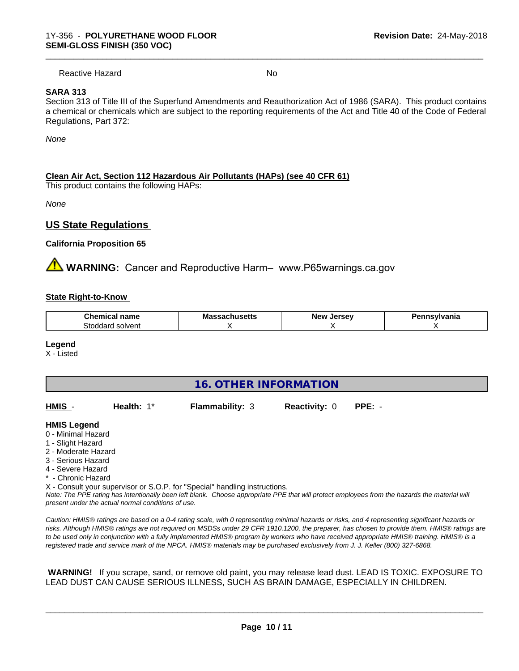Reactive Hazard No. No. 2014

\_\_\_\_\_\_\_\_\_\_\_\_\_\_\_\_\_\_\_\_\_\_\_\_\_\_\_\_\_\_\_\_\_\_\_\_\_\_\_\_\_\_\_\_\_\_\_\_\_\_\_\_\_\_\_\_\_\_\_\_\_\_\_\_\_\_\_\_\_\_\_\_\_\_\_\_\_\_\_\_\_\_\_\_\_\_\_\_\_\_\_\_\_

#### **SARA 313**

Section 313 of Title III of the Superfund Amendments and Reauthorization Act of 1986 (SARA). This product contains a chemical or chemicals which are subject to the reporting requirements of the Act and Title 40 of the Code of Federal Regulations, Part 372:

*None*

#### **Clean Air Act,Section 112 Hazardous Air Pollutants (HAPs) (see 40 CFR 61)**

This product contains the following HAPs:

*None*

#### **US State Regulations**

#### **California Proposition 65**

**AVIMARNING:** Cancer and Reproductive Harm– www.P65warnings.ca.gov

#### **State Right-to-Know**

| $\sim$<br>name<br>Chemical | IVIO:<br>uscus | <b>OFCOU</b><br>Ne)<br>$\cdot$<br>. | <u>/Ivania</u> |
|----------------------------|----------------|-------------------------------------|----------------|
| Stoddard<br>solvent        |                |                                     |                |

#### **Legend**

X - Listed

| <b>16. OTHER INFORMATION</b>                                                                                                                          |                                                    |                                                                            |                      |                                                                                                                                               |
|-------------------------------------------------------------------------------------------------------------------------------------------------------|----------------------------------------------------|----------------------------------------------------------------------------|----------------------|-----------------------------------------------------------------------------------------------------------------------------------------------|
| HMIS -                                                                                                                                                | Health: $1*$                                       | <b>Flammability: 3</b>                                                     | <b>Reactivity: 0</b> | $PPE: -$                                                                                                                                      |
| <b>HMIS Legend</b><br>0 - Minimal Hazard<br>1 - Slight Hazard<br>2 - Moderate Hazard<br>3 - Serious Hazard<br>4 - Severe Hazard<br>* - Chronic Hazard | present under the actual normal conditions of use. | X - Consult your supervisor or S.O.P. for "Special" handling instructions. |                      | Note: The PPE rating has intentionally been left blank. Choose appropriate PPE that will protect employees from the hazards the material will |

*Caution: HMISÒ ratings are based on a 0-4 rating scale, with 0 representing minimal hazards or risks, and 4 representing significant hazards or risks. Although HMISÒ ratings are not required on MSDSs under 29 CFR 1910.1200, the preparer, has chosen to provide them. HMISÒ ratings are to be used only in conjunction with a fully implemented HMISÒ program by workers who have received appropriate HMISÒ training. HMISÒ is a registered trade and service mark of the NPCA. HMISÒ materials may be purchased exclusively from J. J. Keller (800) 327-6868.*

 **WARNING!** If you scrape, sand, or remove old paint, you may release lead dust. LEAD IS TOXIC. EXPOSURE TO LEAD DUST CAN CAUSE SERIOUS ILLNESS, SUCH AS BRAIN DAMAGE, ESPECIALLY IN CHILDREN.